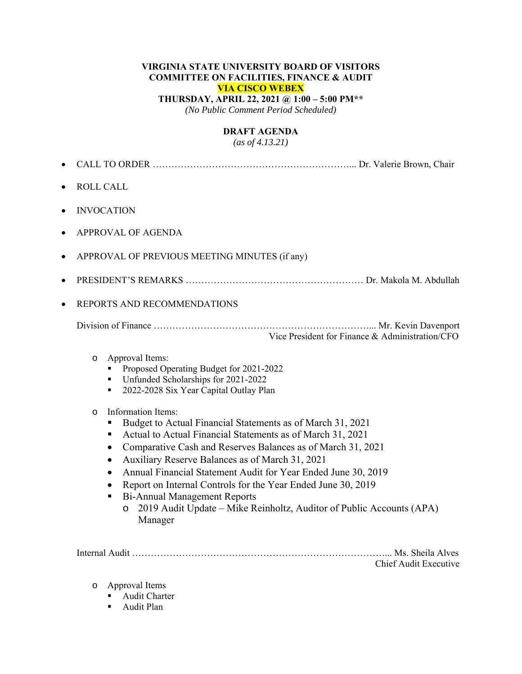#### **VIRGINIA STATE UNIVERSITY BOARD OF VISITORS COMMITTEE ON FACILITIES, FINANCE & AUDIT VIA CISCO WEBEX THURSDAY, APRIL 22, 2021 @ 1:00 – 5:00 PM\*\***  *(No Public Comment Period Scheduled)*

# **DRAFT AGENDA**

*(as of 4.13.21)* 

- CALL TO ORDER ………………………………………………………... Dr. Valerie Brown, Chair
- ROLL CALL
- INVOCATION
- APPROVAL OF AGENDA
- APPROVAL OF PREVIOUS MEETING MINUTES (if any)
- PRESIDENT'S REMARKS ………………………………………………… Dr. Makola M. Abdullah
- REPORTS AND RECOMMENDATIONS

Division of Finance ……………………………………………………………... Mr. Kevin Davenport Vice President for Finance & Administration/CFO

- o Approval Items:
	- Proposed Operating Budget for 2021-2022
	- Unfunded Scholarships for 2021-2022
	- <sup>2022-2028</sup> Six Year Capital Outlay Plan
- o Information Items:
	- Budget to Actual Financial Statements as of March 31, 2021
	- Actual to Actual Financial Statements as of March 31, 2021
	- Comparative Cash and Reserves Balances as of March 31, 2021
	- Auxiliary Reserve Balances as of March 31, 2021
	- Annual Financial Statement Audit for Year Ended June 30, 2019
	- Report on Internal Controls for the Year Ended June 30, 2019
	- Bi-Annual Management Reports
		- o 2019 Audit Update Mike Reinholtz, Auditor of Public Accounts (APA) Manager

Internal Audit ………………………………………………………………………... Ms. Sheila Alves Chief Audit Executive

- o Approval Items
	- **Audit Charter**
	- Audit Plan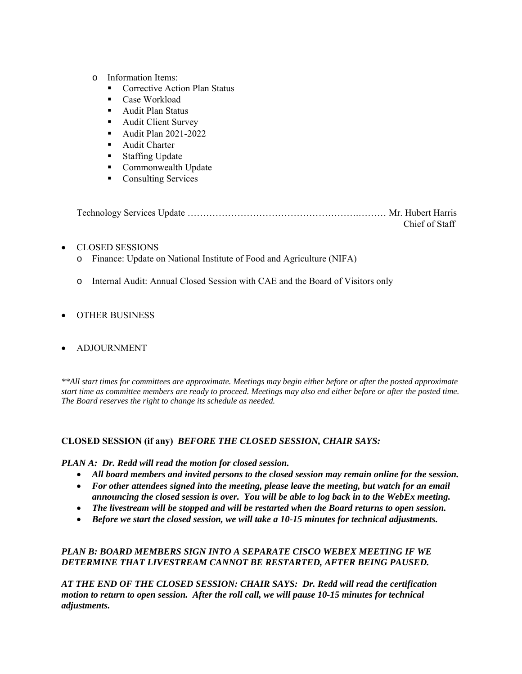- o Information Items:
	- Corrective Action Plan Status
	- Case Workload
	- Audit Plan Status
	- **Audit Client Survey**
	- **Audit Plan 2021-2022**
	- **Audit Charter**
	- **Staffing Update**
	- **Commonwealth Update**
	- Consulting Services

| Chief of Staff |
|----------------|

#### CLOSED SESSIONS

- o Finance: Update on National Institute of Food and Agriculture (NIFA)
- o Internal Audit: Annual Closed Session with CAE and the Board of Visitors only

#### OTHER BUSINESS

#### ADJOURNMENT

*\*\*All start times for committees are approximate. Meetings may begin either before or after the posted approximate start time as committee members are ready to proceed. Meetings may also end either before or after the posted time. The Board reserves the right to change its schedule as needed.* 

#### **CLOSED SESSION (if any)** *BEFORE THE CLOSED SESSION, CHAIR SAYS:*

#### *PLAN A: Dr. Redd will read the motion for closed session.*

- *All board members and invited persons to the closed session may remain online for the session.*
- *For other attendees signed into the meeting, please leave the meeting, but watch for an email announcing the closed session is over. You will be able to log back in to the WebEx meeting.*
- *The livestream will be stopped and will be restarted when the Board returns to open session.*
- *Before we start the closed session, we will take a 10-15 minutes for technical adjustments.*

### *PLAN B: BOARD MEMBERS SIGN INTO A SEPARATE CISCO WEBEX MEETING IF WE DETERMINE THAT LIVESTREAM CANNOT BE RESTARTED, AFTER BEING PAUSED.*

*AT THE END OF THE CLOSED SESSION: CHAIR SAYS: Dr. Redd will read the certification motion to return to open session. After the roll call, we will pause 10-15 minutes for technical adjustments.*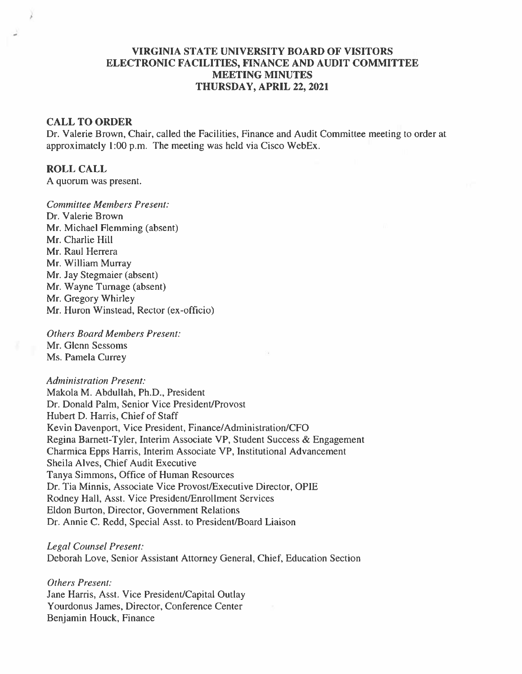## **VIRGINIA STATE UNIVERSITY BOARD OF VISITORS** ELECTRONIC FACILITIES. FINANCE AND AUDIT COMMITTEE **MEETING MINUTES** THURSDAY, APRIL 22, 2021

#### **CALL TO ORDER**

Dr. Valerie Brown, Chair, called the Facilities, Finance and Audit Committee meeting to order at approximately 1:00 p.m. The meeting was held via Cisco WebEx.

#### **ROLL CALL**

A quorum was present.

**Committee Members Present:** Dr. Valerie Brown Mr. Michael Flemming (absent) Mr. Charlie Hill Mr. Raul Herrera Mr. William Murray Mr. Jay Stegmaier (absent) Mr. Wayne Turnage (absent) Mr. Gregory Whirley Mr. Huron Winstead, Rector (ex-officio)

**Others Board Members Present:** Mr. Glenn Sessoms Ms. Pamela Currey

**Administration Present:** Makola M. Abdullah, Ph.D., President Dr. Donald Palm, Senior Vice President/Provost Hubert D. Harris, Chief of Staff Kevin Davenport, Vice President, Finance/Administration/CFO Regina Barnett-Tyler, Interim Associate VP, Student Success & Engagement Charmica Epps Harris, Interim Associate VP, Institutional Advancement Sheila Alves, Chief Audit Executive Tanya Simmons, Office of Human Resources Dr. Tia Minnis, Associate Vice Provost/Executive Director, OPIE Rodney Hall, Asst. Vice President/Enrollment Services Eldon Burton, Director, Government Relations Dr. Annie C. Redd, Special Asst. to President/Board Liaison

**Legal Counsel Present:** Deborah Love, Senior Assistant Attorney General, Chief, Education Section

**Others Present:** Jane Harris, Asst. Vice President/Capital Outlay Yourdonus James, Director, Conference Center Benjamin Houck, Finance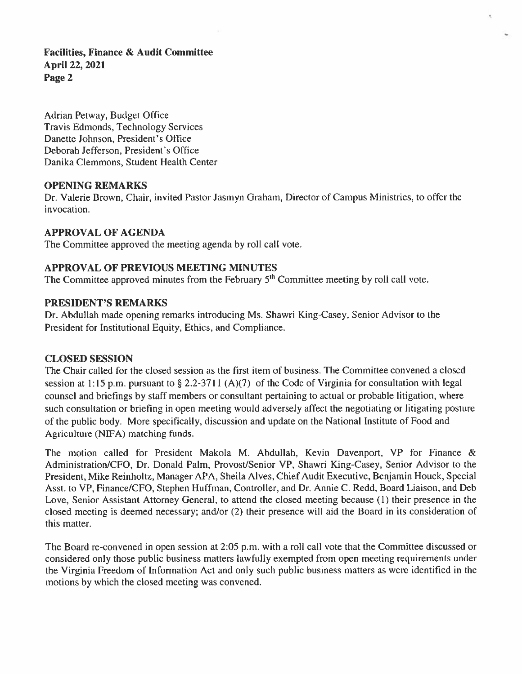Adrian Petway, Budget Office Travis Edmonds, Technology Services Danette Johnson, President's Office Deborah Jefferson, President's Office Danika Clemmons, Student Health Center

### **OPENING REMARKS**

Dr. Valerie Brown, Chair, invited Pastor Jasmyn Graham, Director of Campus Ministries, to offer the invocation.

## **APPROVAL OF AGENDA**

The Committee approved the meeting agenda by roll call vote.

## **APPROVAL OF PREVIOUS MEETING MINUTES**

The Committee approved minutes from the February  $5<sup>th</sup>$  Committee meeting by roll call vote.

## PRESIDENT'S REMARKS

Dr. Abdullah made opening remarks introducing Ms. Shawri King-Casey, Senior Advisor to the President for Institutional Equity, Ethics, and Compliance.

### **CLOSED SESSION**

The Chair called for the closed session as the first item of business. The Committee convened a closed session at 1:15 p.m. pursuant to  $\S 2.2-3711$  (A)(7) of the Code of Virginia for consultation with legal counsel and briefings by staff members or consultant pertaining to actual or probable litigation, where such consultation or briefing in open meeting would adversely affect the negotiating or litigating posture of the public body. More specifically, discussion and update on the National Institute of Food and Agriculture (NIFA) matching funds.

The motion called for President Makola M. Abdullah, Kevin Davenport, VP for Finance & Administration/CFO, Dr. Donald Palm, Provost/Senior VP, Shawri King-Casey, Senior Advisor to the President, Mike Reinholtz, Manager APA, Sheila Alves, Chief Audit Executive, Benjamin Houck, Special Asst. to VP, Finance/CFO, Stephen Huffman, Controller, and Dr. Annie C. Redd, Board Liaison, and Deb Love, Senior Assistant Attorney General, to attend the closed meeting because (1) their presence in the closed meeting is deemed necessary; and/or (2) their presence will aid the Board in its consideration of this matter.

The Board re-convened in open session at 2:05 p.m. with a roll call vote that the Committee discussed or considered only those public business matters lawfully exempted from open meeting requirements under the Virginia Freedom of Information Act and only such public business matters as were identified in the motions by which the closed meeting was convened.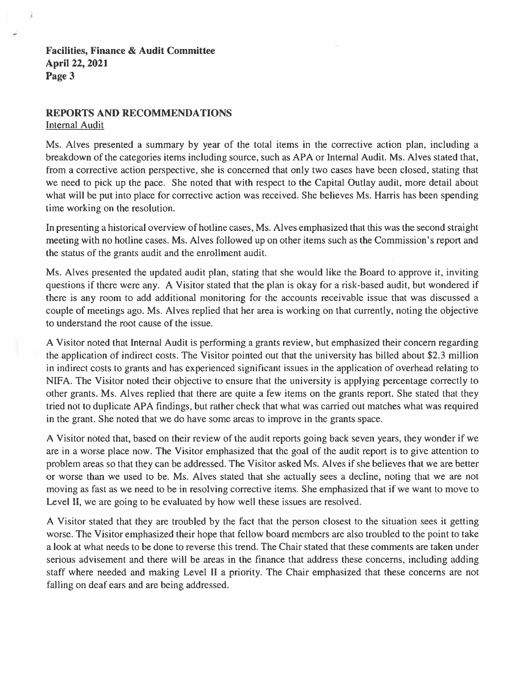### **REPORTS AND RECOMMENDATIONS Internal Audit**

Ms. Alves presented a summary by year of the total items in the corrective action plan, including a breakdown of the categories items including source, such as APA or Internal Audit. Ms. Alves stated that, from a corrective action perspective, she is concerned that only two cases have been closed, stating that we need to pick up the pace. She noted that with respect to the Capital Outlay audit, more detail about what will be put into place for corrective action was received. She believes Ms. Harris has been spending time working on the resolution.

In presenting a historical overview of hotline cases, Ms. Alves emphasized that this was the second straight meeting with no hotline cases. Ms. Alves followed up on other items such as the Commission's report and the status of the grants audit and the enrollment audit.

Ms. Alves presented the updated audit plan, stating that she would like the Board to approve it, inviting questions if there were any. A Visitor stated that the plan is okay for a risk-based audit, but wondered if there is any room to add additional monitoring for the accounts receivable issue that was discussed a couple of meetings ago. Ms. Alves replied that her area is working on that currently, noting the objective to understand the root cause of the issue.

A Visitor noted that Internal Audit is performing a grants review, but emphasized their concern regarding the application of indirect costs. The Visitor pointed out that the university has billed about \$2.3 million in indirect costs to grants and has experienced significant issues in the application of overhead relating to NIFA. The Visitor noted their objective to ensure that the university is applying percentage correctly to other grants. Ms. Alves replied that there are quite a few items on the grants report. She stated that they tried not to duplicate APA findings, but rather check that what was carried out matches what was required in the grant. She noted that we do have some areas to improve in the grants space.

A Visitor noted that, based on their review of the audit reports going back seven years, they wonder if we are in a worse place now. The Visitor emphasized that the goal of the audit report is to give attention to problem areas so that they can be addressed. The Visitor asked Ms. Alves if she believes that we are better or worse than we used to be. Ms. Alves stated that she actually sees a decline, noting that we are not moving as fast as we need to be in resolving corrective items. She emphasized that if we want to move to Level II, we are going to be evaluated by how well these issues are resolved.

A Visitor stated that they are troubled by the fact that the person closest to the situation sees it getting worse. The Visitor emphasized their hope that fellow board members are also troubled to the point to take a look at what needs to be done to reverse this trend. The Chair stated that these comments are taken under serious advisement and there will be areas in the finance that address these concerns, including adding staff where needed and making Level II a priority. The Chair emphasized that these concerns are not falling on deaf ears and are being addressed.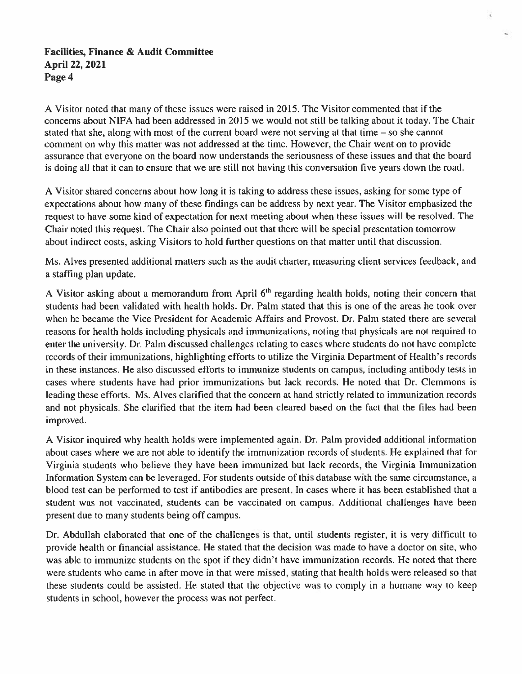A Visitor noted that many of these issues were raised in 2015. The Visitor commented that if the concerns about NIFA had been addressed in 2015 we would not still be talking about it today. The Chair stated that she, along with most of the current board were not serving at that time  $-$  so she cannot comment on why this matter was not addressed at the time. However, the Chair went on to provide assurance that everyone on the board now understands the seriousness of these issues and that the board is doing all that it can to ensure that we are still not having this conversation five years down the road.

A Visitor shared concerns about how long it is taking to address these issues, asking for some type of expectations about how many of these findings can be address by next year. The Visitor emphasized the request to have some kind of expectation for next meeting about when these issues will be resolved. The Chair noted this request. The Chair also pointed out that there will be special presentation tomorrow about indirect costs, asking Visitors to hold further questions on that matter until that discussion.

Ms. Alves presented additional matters such as the audit charter, measuring client services feedback, and a staffing plan update.

A Visitor asking about a memorandum from April 6<sup>th</sup> regarding health holds, noting their concern that students had been validated with health holds. Dr. Palm stated that this is one of the areas he took over when he became the Vice President for Academic Affairs and Provost. Dr. Palm stated there are several reasons for health holds including physicals and immunizations, noting that physicals are not required to enter the university. Dr. Palm discussed challenges relating to cases where students do not have complete records of their immunizations, highlighting efforts to utilize the Virginia Department of Health's records in these instances. He also discussed efforts to immunize students on campus, including antibody tests in cases where students have had prior immunizations but lack records. He noted that Dr. Clemmons is leading these efforts. Ms. Alves clarified that the concern at hand strictly related to immunization records and not physicals. She clarified that the item had been cleared based on the fact that the files had been improved.

A Visitor inquired why health holds were implemented again. Dr. Palm provided additional information about cases where we are not able to identify the immunization records of students. He explained that for Virginia students who believe they have been immunized but lack records, the Virginia Immunization Information System can be leveraged. For students outside of this database with the same circumstance, a blood test can be performed to test if antibodies are present. In cases where it has been established that a student was not vaccinated, students can be vaccinated on campus. Additional challenges have been present due to many students being off campus.

Dr. Abdullah elaborated that one of the challenges is that, until students register, it is very difficult to provide health or financial assistance. He stated that the decision was made to have a doctor on site, who was able to immunize students on the spot if they didn't have immunization records. He noted that there were students who came in after move in that were missed, stating that health holds were released so that these students could be assisted. He stated that the objective was to comply in a humane way to keep students in school, however the process was not perfect.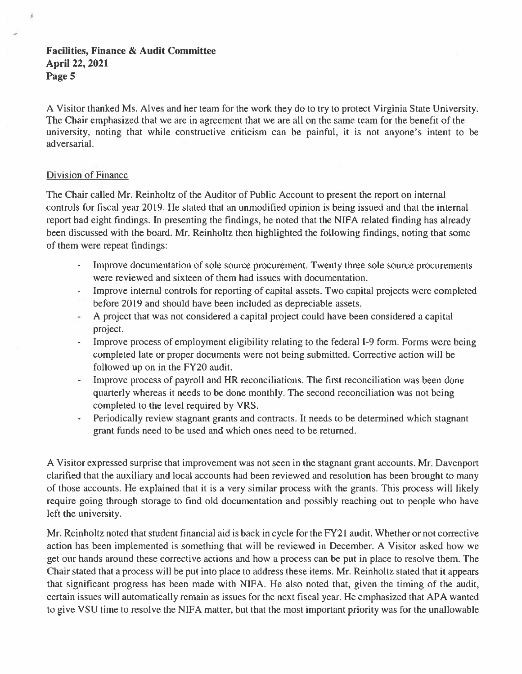A Visitor thanked Ms. Alves and her team for the work they do to try to protect Virginia State University. The Chair emphasized that we are in agreement that we are all on the same team for the benefit of the university, noting that while constructive criticism can be painful, it is not anyone's intent to be adversarial.

## Division of Finance

j

The Chair called Mr. Reinholtz of the Auditor of Public Account to present the report on internal controls for fiscal year 2019. He stated that an unmodified opinion is being issued and that the internal report had eight findings. In presenting the findings, he noted that the NIFA related finding has already been discussed with the board. Mr. Reinholtz then highlighted the following findings, noting that some of them were repeat findings:

- Improve documentation of sole source procurement. Twenty three sole source procurements were reviewed and sixteen of them had issues with documentation.
- Improve internal controls for reporting of capital assets. Two capital projects were completed before 2019 and should have been included as depreciable assets.
- A project that was not considered a capital project could have been considered a capital project.
- Improve process of employment eligibility relating to the federal I-9 form. Forms were being completed late or proper documents were not being submitted. Corrective action will be followed up on in the FY20 audit.
- Improve process of payroll and HR reconciliations. The first reconciliation was been done quarterly whereas it needs to be done monthly. The second reconciliation was not being completed to the level required by VRS.
- Periodically review stagnant grants and contracts. It needs to be determined which stagnant grant funds need to be used and which ones need to be returned.

A Visitor expressed surprise that improvement was not seen in the stagnant grant accounts. Mr. Davenport clarified that the auxiliary and local accounts had been reviewed and resolution has been brought to many of those accounts. He explained that it is a very similar process with the grants. This process will likely require going through storage to find old documentation and possibly reaching out to people who have left the university.

Mr. Reinholtz noted that student financial aid is back in cycle for the FY21 audit. Whether or not corrective action has been implemented is something that will be reviewed in December. A Visitor asked how we get our hands around these corrective actions and how a process can be put in place to resolve them. The Chair stated that a process will be put into place to address these items. Mr. Reinholtz stated that it appears that significant progress has been made with NIFA. He also noted that, given the timing of the audit, certain issues will automatically remain as issues for the next fiscal year. He emphasized that APA wanted to give VSU time to resolve the NIFA matter, but that the most important priority was for the unallowable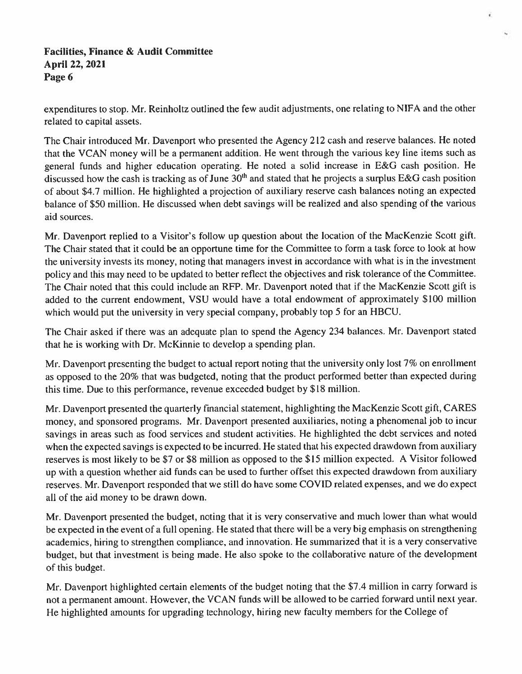expenditures to stop. Mr. Reinholtz outlined the few audit adjustments, one relating to NIFA and the other related to capital assets.

č

The Chair introduced Mr. Davenport who presented the Agency 212 cash and reserve balances. He noted that the VCAN money will be a permanent addition. He went through the various key line items such as general funds and higher education operating. He noted a solid increase in E&G cash position. He discussed how the cash is tracking as of June  $30<sup>th</sup>$  and stated that he projects a surplus E&G cash position of about \$4.7 million. He highlighted a projection of auxiliary reserve cash balances noting an expected balance of \$50 million. He discussed when debt savings will be realized and also spending of the various aid sources.

Mr. Davenport replied to a Visitor's follow up question about the location of the MacKenzie Scott gift. The Chair stated that it could be an opportune time for the Committee to form a task force to look at how the university invests its money, noting that managers invest in accordance with what is in the investment policy and this may need to be updated to better reflect the objectives and risk tolerance of the Committee. The Chair noted that this could include an RFP. Mr. Davenport noted that if the MacKenzie Scott gift is added to the current endowment, VSU would have a total endowment of approximately \$100 million which would put the university in very special company, probably top 5 for an HBCU.

The Chair asked if there was an adequate plan to spend the Agency 234 balances. Mr. Davenport stated that he is working with Dr. McKinnie to develop a spending plan.

Mr. Davenport presenting the budget to actual report noting that the university only lost 7% on enrollment as opposed to the 20% that was budgeted, noting that the product performed better than expected during this time. Due to this performance, revenue exceeded budget by \$18 million.

Mr. Davenport presented the quarterly financial statement, highlighting the MacKenzie Scott gift, CARES money, and sponsored programs. Mr. Davenport presented auxiliaries, noting a phenomenal job to incur savings in areas such as food services and student activities. He highlighted the debt services and noted when the expected savings is expected to be incurred. He stated that his expected drawdown from auxiliary reserves is most likely to be \$7 or \$8 million as opposed to the \$15 million expected. A Visitor followed up with a question whether aid funds can be used to further offset this expected drawdown from auxiliary reserves. Mr. Davenport responded that we still do have some COVID related expenses, and we do expect all of the aid money to be drawn down.

Mr. Davenport presented the budget, noting that it is very conservative and much lower than what would be expected in the event of a full opening. He stated that there will be a very big emphasis on strengthening academics, hiring to strengthen compliance, and innovation. He summarized that it is a very conservative budget, but that investment is being made. He also spoke to the collaborative nature of the development of this budget.

Mr. Davenport highlighted certain elements of the budget noting that the \$7.4 million in carry forward is not a permanent amount. However, the VCAN funds will be allowed to be carried forward until next year. He highlighted amounts for upgrading technology, hiring new faculty members for the College of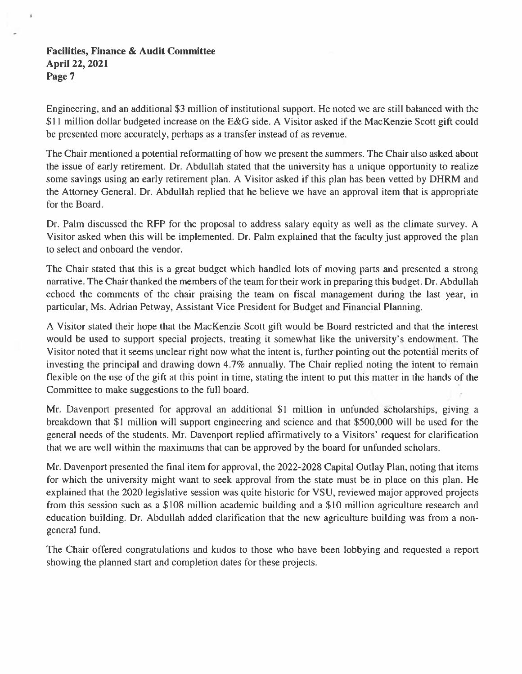×.

Engineering, and an additional \$3 million of institutional support. He noted we are still balanced with the \$11 million dollar budgeted increase on the E&G side. A Visitor asked if the MacKenzie Scott gift could be presented more accurately, perhaps as a transfer instead of as revenue.

The Chair mentioned a potential reformatting of how we present the summers. The Chair also asked about the issue of early retirement. Dr. Abdullah stated that the university has a unique opportunity to realize some savings using an early retirement plan. A Visitor asked if this plan has been vetted by DHRM and the Attorney General. Dr. Abdullah replied that he believe we have an approval item that is appropriate for the Board.

Dr. Palm discussed the RFP for the proposal to address salary equity as well as the climate survey. A Visitor asked when this will be implemented. Dr. Palm explained that the faculty just approved the plan to select and onboard the vendor.

The Chair stated that this is a great budget which handled lots of moving parts and presented a strong narrative. The Chair thanked the members of the team for their work in preparing this budget. Dr. Abdullah echoed the comments of the chair praising the team on fiscal management during the last year, in particular, Ms. Adrian Petway, Assistant Vice President for Budget and Financial Planning.

A Visitor stated their hope that the MacKenzie Scott gift would be Board restricted and that the interest would be used to support special projects, treating it somewhat like the university's endowment. The Visitor noted that it seems unclear right now what the intent is, further pointing out the potential merits of investing the principal and drawing down 4.7% annually. The Chair replied noting the intent to remain flexible on the use of the gift at this point in time, stating the intent to put this matter in the hands of the Committee to make suggestions to the full board.

Mr. Davenport presented for approval an additional \$1 million in unfunded scholarships, giving a breakdown that \$1 million will support engineering and science and that \$500,000 will be used for the general needs of the students. Mr. Davenport replied affirmatively to a Visitors' request for clarification that we are well within the maximums that can be approved by the board for unfunded scholars.

Mr. Davenport presented the final item for approval, the 2022-2028 Capital Outlay Plan, noting that items for which the university might want to seek approval from the state must be in place on this plan. He explained that the 2020 legislative session was quite historic for VSU, reviewed major approved projects from this session such as a \$108 million academic building and a \$10 million agriculture research and education building. Dr. Abdullah added clarification that the new agriculture building was from a nongeneral fund.

The Chair offered congratulations and kudos to those who have been lobbying and requested a report showing the planned start and completion dates for these projects.